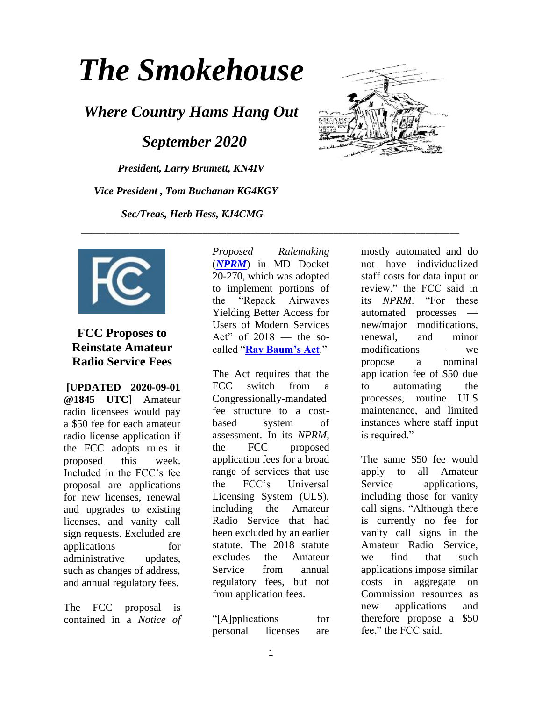# *The Smokehouse*

*Where Country Hams Hang Out*

 *September 2020*

*President, Larry Brumett, KN4IV Vice President , Tom Buchanan KG4KGY Sec/Treas, Herb Hess, KJ4CMG*





## **FCC Proposes to Reinstate Amateur Radio Service Fees**

**[UPDATED 2020-09-01 @1845 UTC]** Amateur radio licensees would pay a \$50 fee for each amateur radio license application if the FCC adopts rules it proposed this week. Included in the FCC's fee proposal are applications for new licenses, renewal and upgrades to existing licenses, and vanity call sign requests. Excluded are applications for administrative updates, such as changes of address, and annual regulatory fees.

The FCC proposal is contained in a *Notice of*  *Proposed Rulemaking* (*[NPRM](https://docs.fcc.gov/public/attachments/FCC-20-116A1.pdf)*) in MD Docket 20-270, which was adopted to implement portions of the "Repack Airwaves Yielding Better Access for Users of Modern Services Act" of  $2018$  — the socalled "**[Ray Baum's Act](https://www.congress.gov/115/plaws/publ141/PLAW-115publ141.pdf)**."

\_\_\_\_\_\_\_\_\_\_\_\_\_\_\_\_\_\_\_\_\_\_\_\_\_\_\_\_\_\_\_\_\_\_\_\_\_\_\_\_\_\_\_\_\_\_\_\_\_\_\_\_\_\_\_\_\_\_\_\_\_\_\_\_\_\_\_\_\_\_\_\_\_\_\_\_\_\_

The Act requires that the FCC switch from a Congressionally-mandated fee structure to a costbased system of assessment. In its *NPRM*, the FCC proposed application fees for a broad range of services that use the FCC's Universal Licensing System (ULS), including the Amateur Radio Service that had been excluded by an earlier statute. The 2018 statute excludes the Amateur Service from annual regulatory fees, but not from application fees.

"[A]pplications for personal licenses are mostly automated and do not have individualized staff costs for data input or review," the FCC said in its *NPRM*. "For these automated processes new/major modifications, renewal, and minor modifications — we propose a nominal application fee of \$50 due to automating the processes, routine ULS maintenance, and limited instances where staff input is required."

The same \$50 fee would apply to all Amateur Service applications, including those for vanity call signs. "Although there is currently no fee for vanity call signs in the Amateur Radio Service, we find that such applications impose similar costs in aggregate on Commission resources as new applications and therefore propose a \$50 fee," the FCC said.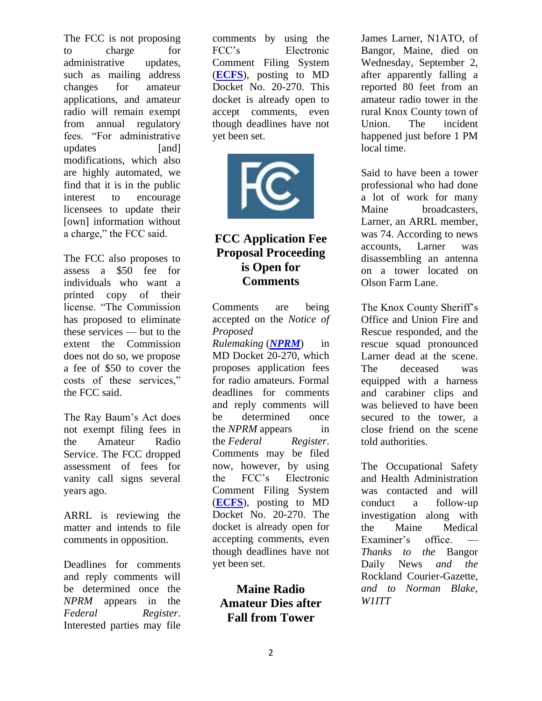The FCC is not proposing to charge for administrative updates, such as mailing address changes for amateur applications, and amateur radio will remain exempt from annual regulatory fees. "For administrative updates [and] modifications, which also are highly automated, we find that it is in the public interest to encourage licensees to update their [own] information without a charge," the FCC said.

The FCC also proposes to assess a \$50 fee for individuals who want a printed copy of their license. "The Commission has proposed to eliminate these services — but to the extent the Commission does not do so, we propose a fee of \$50 to cover the costs of these services," the FCC said.

The Ray Baum's Act does not exempt filing fees in the Amateur Radio Service. The FCC dropped assessment of fees for vanity call signs several years ago.

ARRL is reviewing the matter and intends to file comments in opposition.

Deadlines for comments and reply comments will be determined once the *NPRM* appears in the *Federal Register*. Interested parties may file comments by using the FCC's Electronic Comment Filing System (**[ECFS](https://www.fcc.gov/ecfs/filings)**), posting to MD Docket No. 20-270. This docket is already open to accept comments, even though deadlines have not yet been set.



## **FCC Application Fee Proposal Proceeding is Open for Comments**

Comments are being accepted on the *Notice of Proposed Rulemaking* (*[NPRM](https://docs.fcc.gov/public/attachments/FCC-20-116A1.pdf)*) in MD Docket 20-270, which proposes application fees for radio amateurs. Formal deadlines for comments and reply comments will be determined once the *NPRM* appears in the *Federal Register*. Comments may be filed now, however, by using the FCC's Electronic Comment Filing System (**[ECFS](https://www.fcc.gov/ecfs/filings)**), posting to MD Docket No. 20-270. The docket is already open for accepting comments, even though deadlines have not yet been set.

## **Maine Radio Amateur Dies after Fall from Tower**

James Larner, N1ATO, of Bangor, Maine, died on Wednesday, September 2, after apparently falling a reported 80 feet from an amateur radio tower in the rural Knox County town of Union. The incident happened just before 1 PM local time.

Said to have been a tower professional who had done a lot of work for many Maine broadcasters, Larner, an ARRL member, was 74. According to news accounts, Larner was disassembling an antenna on a tower located on Olson Farm Lane.

The Knox County Sheriff's Office and Union Fire and Rescue responded, and the rescue squad pronounced Larner dead at the scene. The deceased was equipped with a harness and carabiner clips and was believed to have been secured to the tower, a close friend on the scene told authorities.

The Occupational Safety and Health Administration was contacted and will conduct a follow-up investigation along with the Maine Medical Examiner's office. *Thanks to the* Bangor Daily News *and the*  Rockland Courier-Gazette, *and to Norman Blake, W1ITT*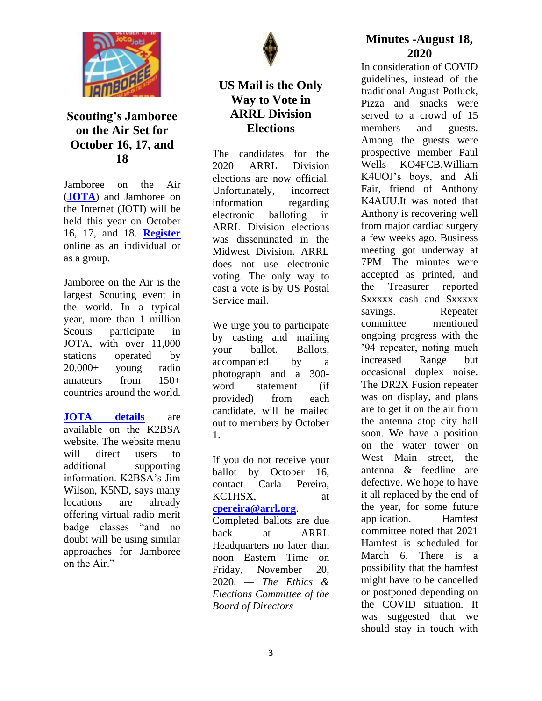

### **Scouting's Jamboree on the Air Set for October 16, 17, and 18**

Jamboree on the Air (**[JOTA](https://www.scouting.org/international/jota-joti/)**) and Jamboree on the Internet (JOTI) will be held this year on October 16, 17, and 18. **[Register](https://www.jotajoti.info/)** online as an individual or as a group.

Jamboree on the Air is the largest Scouting event in the world. In a typical year, more than 1 million Scouts participate in JOTA, with over 11,000 stations operated by 20,000+ young radio amateurs from 150+ countries around the world.

**[JOTA details](https://k2bsa.net/jota/)** are available on the K2BSA website. The website menu will direct users to additional supporting information. K2BSA's Jim Wilson, K5ND, says many locations are already offering virtual radio merit badge classes "and no doubt will be using similar approaches for Jamboree on the Air."



### **US Mail is the Only Way to Vote in ARRL Division Elections**

The candidates for the 2020 ARRL Division elections are now official. Unfortunately, incorrect information regarding electronic balloting in ARRL Division elections was disseminated in the Midwest Division. ARRL does not use electronic voting. The only way to cast a vote is by US Postal Service mail.

We urge you to participate by casting and mailing your ballot. Ballots, accompanied by a photograph and a 300 word statement (if provided) from each candidate, will be mailed out to members by October 1.

If you do not receive your ballot by October 16, contact Carla Pereira, KC1HSX, at **[cpereira@arrl.org](mailto:cpereira@arrl.org)**.

Completed ballots are due back at ARRL Headquarters no later than noon Eastern Time on Friday, November 20, 2020. *— The Ethics & Elections Committee of the Board of Directors*

#### **Minutes -August 18, 2020**

In consideration of COVID guidelines, instead of the traditional August Potluck, Pizza and snacks were served to a crowd of 15 members and guests. Among the guests were prospective member Paul Wells KO4FCB,William K4UOJ's boys, and Ali Fair, friend of Anthony K4AUU.It was noted that Anthony is recovering well from major cardiac surgery a few weeks ago. Business meeting got underway at 7PM. The minutes were accepted as printed, and the Treasurer reported \$xxxxx cash and \$xxxxx savings. Repeater committee mentioned ongoing progress with the '94 repeater, noting much increased Range but occasional duplex noise. The DR2X Fusion repeater was on display, and plans are to get it on the air from the antenna atop city hall soon. We have a position on the water tower on West Main street, the antenna & feedline are defective. We hope to have it all replaced by the end of the year, for some future application. Hamfest committee noted that 2021 Hamfest is scheduled for March 6. There is a possibility that the hamfest might have to be cancelled or postponed depending on the COVID situation. It was suggested that we should stay in touch with